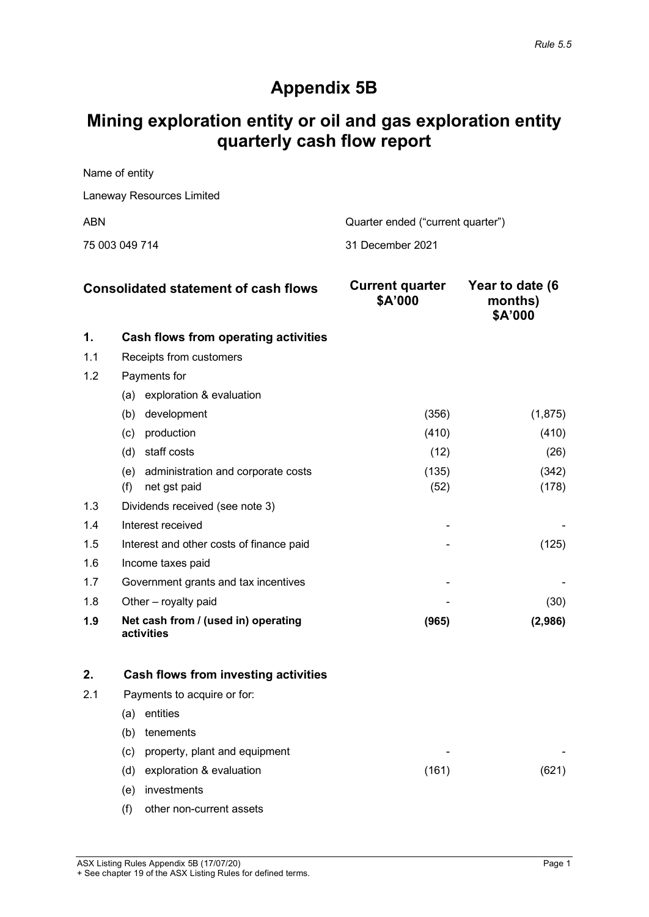# **Appendix 5B**

# **Mining exploration entity or oil and gas exploration entity quarterly cash flow report**

Name of entity Laneway Resources Limited

ABN ABN Cuarter ended ("current quarter")

75 003 049 714 31 December 2021

| <b>Consolidated statement of cash flows</b> |                                                   | <b>Current quarter</b><br>\$A'000 | Year to date (6<br>months)<br>\$A'000 |
|---------------------------------------------|---------------------------------------------------|-----------------------------------|---------------------------------------|
| 1.                                          | Cash flows from operating activities              |                                   |                                       |
| 1.1                                         | Receipts from customers                           |                                   |                                       |
| 1.2                                         | Payments for                                      |                                   |                                       |
|                                             | exploration & evaluation<br>(a)                   |                                   |                                       |
|                                             | development<br>(b)                                | (356)                             | (1,875)                               |
|                                             | production<br>(c)                                 | (410)                             | (410)                                 |
|                                             | staff costs<br>(d)                                | (12)                              | (26)                                  |
|                                             | administration and corporate costs<br>(e)         | (135)                             | (342)                                 |
|                                             | (f)<br>net gst paid                               | (52)                              | (178)                                 |
| 1.3                                         | Dividends received (see note 3)                   |                                   |                                       |
| 1.4                                         | Interest received                                 |                                   |                                       |
| 1.5                                         | Interest and other costs of finance paid          |                                   | (125)                                 |
| 1.6                                         | Income taxes paid                                 |                                   |                                       |
| 1.7                                         | Government grants and tax incentives              |                                   |                                       |
| 1.8                                         | Other - royalty paid                              |                                   | (30)                                  |
| 1.9                                         | Net cash from / (used in) operating<br>activities | (965)                             | (2,986)                               |

| 2.  |                   | Cash flows from investing activities |       |  |
|-----|-------------------|--------------------------------------|-------|--|
| 2.1 |                   | Payments to acquire or for:          |       |  |
|     | (a                | entities                             |       |  |
|     | (b)               | tenements                            |       |  |
|     | $\left( c\right)$ | property, plant and equipment        | -     |  |
|     | (d)               | exploration & evaluation             | (161) |  |
|     | e)                | investments                          |       |  |
|     | (†)               | other non-current assets             |       |  |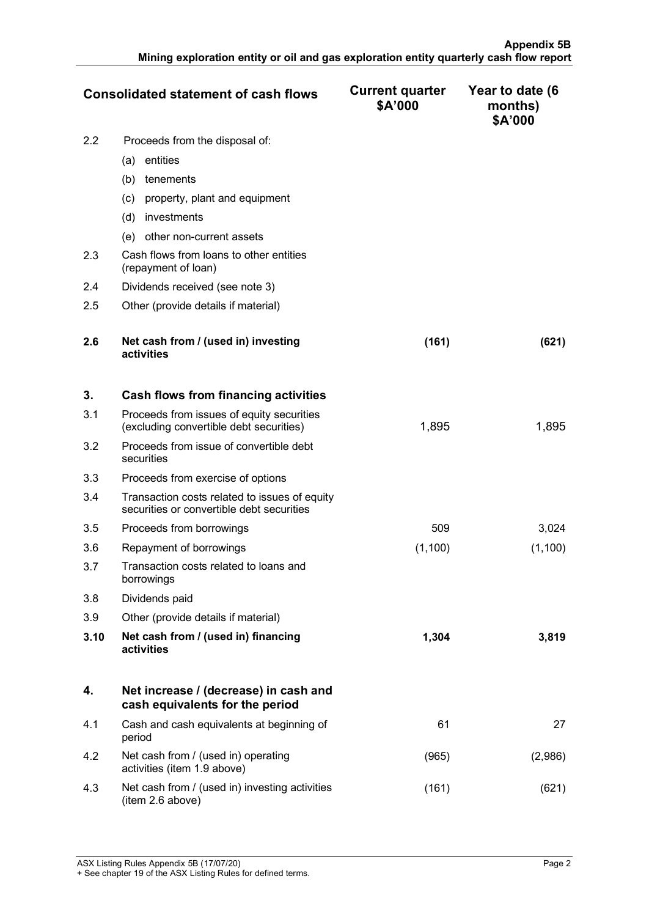|     | <b>Consolidated statement of cash flows</b>                    | <b>Current quarter</b><br>\$A'000 | Year to date (6<br>months)<br>\$A'000 |
|-----|----------------------------------------------------------------|-----------------------------------|---------------------------------------|
| 2.2 | Proceeds from the disposal of:                                 |                                   |                                       |
|     | entities<br>(a)                                                |                                   |                                       |
|     | (b)<br>tenements                                               |                                   |                                       |
|     | property, plant and equipment<br>(c)                           |                                   |                                       |
|     | investments<br>(d)                                             |                                   |                                       |
|     | other non-current assets<br>(e)                                |                                   |                                       |
| 2.3 | Cash flows from loans to other entities<br>(repayment of loan) |                                   |                                       |
| 2.4 | Dividends received (see note 3)                                |                                   |                                       |
| 2.5 | Other (provide details if material)                            |                                   |                                       |
|     |                                                                |                                   |                                       |
| 2.6 | Net cash from / (used in) investing<br>activities              | (161)                             | (621)                                 |

| 3.   | Cash flows from financing activities                                                       |         |         |
|------|--------------------------------------------------------------------------------------------|---------|---------|
| 3.1  | Proceeds from issues of equity securities<br>(excluding convertible debt securities)       | 1,895   | 1,895   |
| 3.2  | Proceeds from issue of convertible debt<br>securities                                      |         |         |
| 3.3  | Proceeds from exercise of options                                                          |         |         |
| 3.4  | Transaction costs related to issues of equity<br>securities or convertible debt securities |         |         |
| 3.5  | Proceeds from borrowings                                                                   | 509     | 3,024   |
| 3.6  | Repayment of borrowings                                                                    | (1,100) | (1,100) |
| 3.7  | Transaction costs related to loans and<br>borrowings                                       |         |         |
| 3.8  | Dividends paid                                                                             |         |         |
| 3.9  | Other (provide details if material)                                                        |         |         |
| 3.10 | Net cash from / (used in) financing<br>activities                                          | 1,304   | 3.819   |

|     | Net increase / (decrease) in cash and<br>cash equivalents for the period |      |  |
|-----|--------------------------------------------------------------------------|------|--|
| 4.1 | Cash and cash equivalents at beginning of<br>period                      | 61   |  |
| 4.2 | Net cash from / (used in) operating<br>activities (item 1.9 above)       | 965  |  |
| 4.3 | Net cash from / (used in) investing activities<br>(item 2.6 above)       | 161) |  |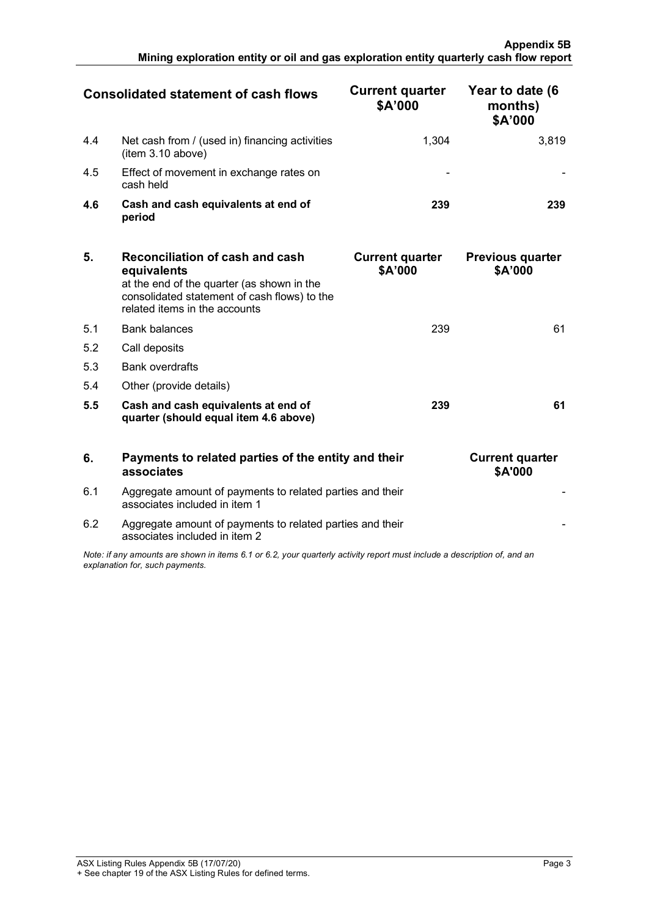|     | Consolidated statement of cash flows                                | <b>Current quarter</b><br>\$A'000 | Year to date (6<br>months)<br>\$A'000 |
|-----|---------------------------------------------------------------------|-----------------------------------|---------------------------------------|
| 4.4 | Net cash from / (used in) financing activities<br>(item 3.10 above) | 1.304                             | 3.819                                 |
| 4.5 | Effect of movement in exchange rates on<br>cash held                |                                   |                                       |
| 4.6 | Cash and cash equivalents at end of<br>period                       | 239                               |                                       |

| 5.  | Reconciliation of cash and cash<br>equivalents<br>at the end of the quarter (as shown in the<br>consolidated statement of cash flows) to the<br>related items in the accounts | <b>Current quarter</b><br>\$A'000 | <b>Previous quarter</b><br>\$A'000 |
|-----|-------------------------------------------------------------------------------------------------------------------------------------------------------------------------------|-----------------------------------|------------------------------------|
| 5.1 | <b>Bank balances</b>                                                                                                                                                          | 239                               | 61                                 |
| 5.2 | Call deposits                                                                                                                                                                 |                                   |                                    |
| 5.3 | <b>Bank overdrafts</b>                                                                                                                                                        |                                   |                                    |
| 5.4 | Other (provide details)                                                                                                                                                       |                                   |                                    |
| 5.5 | Cash and cash equivalents at end of<br>quarter (should equal item 4.6 above)                                                                                                  | 239                               | 61                                 |

| 6.                                                                                                                                                          | Payments to related parties of the entity and their<br>associates                          | <b>Current quarter</b><br><b>\$A'000</b> |
|-------------------------------------------------------------------------------------------------------------------------------------------------------------|--------------------------------------------------------------------------------------------|------------------------------------------|
| 6.1                                                                                                                                                         | Aggregate amount of payments to related parties and their<br>associates included in item 1 |                                          |
| 6.2                                                                                                                                                         | Aggregate amount of payments to related parties and their<br>associates included in item 2 |                                          |
| Note: if any amounts are shown in items 6.1 or 6.2, your quarterly activity report must include a description of, and an<br>explanation for, such payments. |                                                                                            |                                          |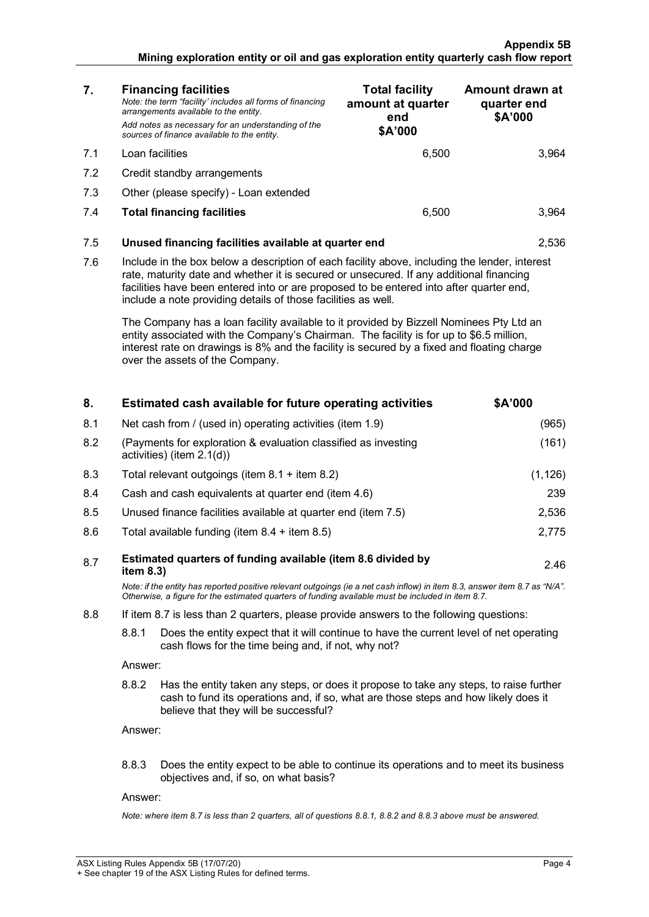### **Appendix 5B Mining exploration entity or oil and gas exploration entity quarterly cash flow report**

| 7.  | <b>Financing facilities</b><br>Note: the term "facility' includes all forms of financing<br>arrangements available to the entity.<br>Add notes as necessary for an understanding of the<br>sources of finance available to the entity.                                                                                                                                                                                                                                                                                                                                                                                                                                      | <b>Total facility</b><br>amount at quarter<br>end<br>\$A'000 | Amount drawn at<br>quarter end<br>\$A'000 |
|-----|-----------------------------------------------------------------------------------------------------------------------------------------------------------------------------------------------------------------------------------------------------------------------------------------------------------------------------------------------------------------------------------------------------------------------------------------------------------------------------------------------------------------------------------------------------------------------------------------------------------------------------------------------------------------------------|--------------------------------------------------------------|-------------------------------------------|
| 7.1 | Loan facilities                                                                                                                                                                                                                                                                                                                                                                                                                                                                                                                                                                                                                                                             | 6.500                                                        | 3,964                                     |
| 7.2 | Credit standby arrangements                                                                                                                                                                                                                                                                                                                                                                                                                                                                                                                                                                                                                                                 |                                                              |                                           |
| 7.3 | Other (please specify) - Loan extended                                                                                                                                                                                                                                                                                                                                                                                                                                                                                                                                                                                                                                      |                                                              |                                           |
| 7.4 | <b>Total financing facilities</b>                                                                                                                                                                                                                                                                                                                                                                                                                                                                                                                                                                                                                                           | 6,500                                                        | 3,964                                     |
| 7.5 | Unused financing facilities available at quarter end<br>2.536                                                                                                                                                                                                                                                                                                                                                                                                                                                                                                                                                                                                               |                                                              |                                           |
| 7.6 | Include in the box below a description of each facility above, including the lender, interest<br>rate, maturity date and whether it is secured or unsecured. If any additional financing<br>facilities have been entered into or are proposed to be entered into after quarter end,<br>include a note providing details of those facilities as well.<br>The Company has a loan facility available to it provided by Bizzell Nominees Pty Ltd an<br>entity associated with the Company's Chairman. The facility is for up to \$6.5 million,<br>interest rate on drawings is 8% and the facility is secured by a fixed and floating charge<br>over the assets of the Company. |                                                              |                                           |
|     |                                                                                                                                                                                                                                                                                                                                                                                                                                                                                                                                                                                                                                                                             |                                                              |                                           |

| 8.  | Estimated cash available for future operating activities                                                                                                                                                                                   | \$A'000  |  |
|-----|--------------------------------------------------------------------------------------------------------------------------------------------------------------------------------------------------------------------------------------------|----------|--|
| 8.1 | Net cash from / (used in) operating activities (item 1.9)                                                                                                                                                                                  | (965)    |  |
| 8.2 | (Payments for exploration & evaluation classified as investing<br>activities) (item 2.1(d))                                                                                                                                                |          |  |
| 8.3 | Total relevant outgoings (item $8.1 +$ item $8.2$ )                                                                                                                                                                                        | (1, 126) |  |
| 8.4 | Cash and cash equivalents at quarter end (item 4.6)                                                                                                                                                                                        | 239      |  |
| 8.5 | Unused finance facilities available at quarter end (item 7.5)                                                                                                                                                                              | 2,536    |  |
| 8.6 | Total available funding (item $8.4 +$ item $8.5$ )                                                                                                                                                                                         | 2,775    |  |
| 8.7 | Estimated quarters of funding available (item 8.6 divided by<br>item $8.3$ )                                                                                                                                                               | 2.46     |  |
|     | Note: if the entity has reported positive relevant outgoings (ie a net cash inflow) in item 8.3, answer item 8.7 as "N/A".<br>Otherwise, a figure for the estimated quarters of funding available must be included in item 8.7.            |          |  |
| 8.8 | If item 8.7 is less than 2 quarters, please provide answers to the following questions:                                                                                                                                                    |          |  |
|     | 8.8.1<br>Does the entity expect that it will continue to have the current level of net operating<br>cash flows for the time being and, if not, why not?                                                                                    |          |  |
|     | Answer:                                                                                                                                                                                                                                    |          |  |
|     | 8.8.2<br>Has the entity taken any steps, or does it propose to take any steps, to raise further<br>cash to fund its operations and, if so, what are those steps and how likely does it<br>believe that they will be successful?<br>Answer: |          |  |
|     |                                                                                                                                                                                                                                            |          |  |
|     | 8.8.3<br>Does the entity expect to be able to continue its operations and to meet its business<br>objectives and, if so, on what basis?                                                                                                    |          |  |
|     | Answer:                                                                                                                                                                                                                                    |          |  |
|     | Note: where item 8.7 is less than 2 quarters, all of questions 8.8.1, 8.8.2 and 8.8.3 above must be answered.                                                                                                                              |          |  |